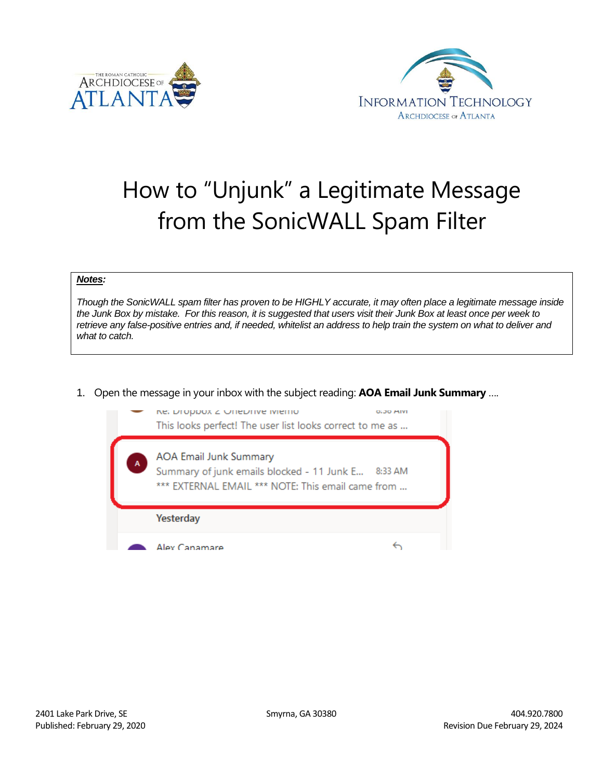



## How to "Unjunk" a Legitimate Message from the SonicWALL Spam Filter

## *Notes:*

*Though the SonicWALL spam filter has proven to be HIGHLY accurate, it may often place a legitimate message inside the Junk Box by mistake. For this reason, it is suggested that users visit their Junk Box at least once per week to retrieve any false-positive entries and, if needed, whitelist an address to help train the system on what to deliver and what to catch.* 

1. Open the message in your inbox with the subject reading: **AOA Email Junk Summary** ….

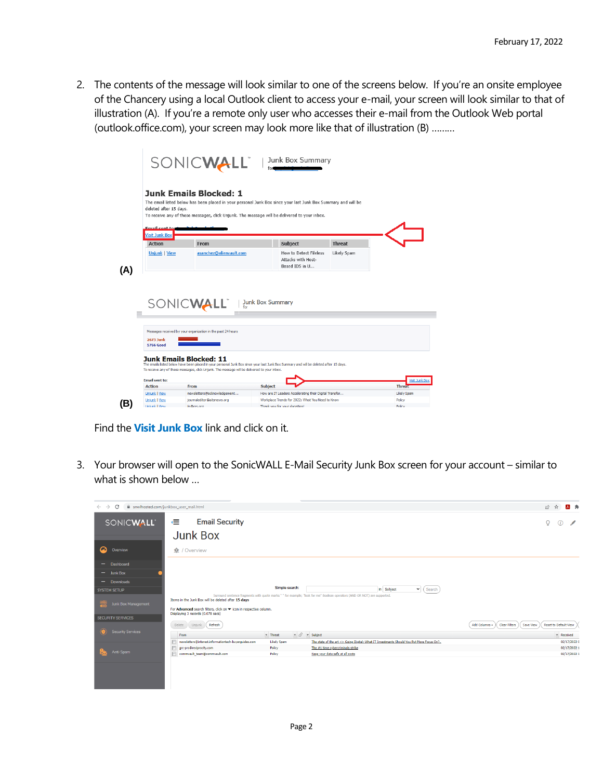2. The contents of the message will look similar to one of the screens below. If you're an onsite employee of the Chancery using a local Outlook client to access your e-mail, your screen will look similar to that of illustration (A). If you're a remote only user who accesses their e-mail from the Outlook Web portal (outlook.office.com), your screen may look more like that of illustration (B) ………

| deleted after 15 davs.                                         | <b>Junk Emails Blocked: 1</b><br>The email listed below has been placed in your personal Junk Box since your last Junk Box Summary and will be<br>To receive any of these messages, click Unjunk. The message will be delivered to your inbox.                                                                                                                                       |                                                                |               |  |
|----------------------------------------------------------------|--------------------------------------------------------------------------------------------------------------------------------------------------------------------------------------------------------------------------------------------------------------------------------------------------------------------------------------------------------------------------------------|----------------------------------------------------------------|---------------|--|
| <b>Email cont to</b><br><b>Visit Junk Box</b><br><b>Action</b> | From                                                                                                                                                                                                                                                                                                                                                                                 | <b>Subject</b>                                                 | <b>Threat</b> |  |
| <b>Unjunk   View</b>                                           | asanchez@alienvault.com                                                                                                                                                                                                                                                                                                                                                              | How to Detect Fileless<br>Attacks with Host-<br>Based IDS in U | Likely Spam   |  |
|                                                                |                                                                                                                                                                                                                                                                                                                                                                                      |                                                                |               |  |
| <b>2673 Junk</b><br>5766 Good                                  | SONICWALL <sup>"</sup>   Junk Box Summary<br>Messages received by your organization in the past 24 hours<br><b>Junk Emails Blocked: 11</b><br>The emails listed below have been placed in your personal Junk Box since your last Junk Box Summary and will be deleted after 15 days.<br>To receive any of these messages, click Unjunk. The message will be delivered to your inbox. |                                                                |               |  |

Find the **Visit Junk Box** link and click on it.

3. Your browser will open to the SonicWALL E-Mail Security Junk Box screen for your account – similar to what is shown below …

| i snwlhosted.com/junkbox_user_mail.html<br>C<br>$\leftarrow$ $\rightarrow$ |                                                                                                                                                                |                              |                                                                                                                               | 12 公<br>月前                                                                  |
|----------------------------------------------------------------------------|----------------------------------------------------------------------------------------------------------------------------------------------------------------|------------------------------|-------------------------------------------------------------------------------------------------------------------------------|-----------------------------------------------------------------------------|
| SONICWALL'                                                                 | <b>Email Security</b><br>∈<br><b>Junk Box</b>                                                                                                                  |                              |                                                                                                                               | O<br>$\odot$                                                                |
| $\boldsymbol{\omega}$<br>Overview                                          | <b>企</b> / Overview                                                                                                                                            |                              |                                                                                                                               |                                                                             |
| Dashboard<br>$-$                                                           |                                                                                                                                                                |                              |                                                                                                                               |                                                                             |
| $-$ Junk Box                                                               |                                                                                                                                                                |                              |                                                                                                                               |                                                                             |
| - Downloads                                                                |                                                                                                                                                                |                              |                                                                                                                               |                                                                             |
| <b>SYSTEM SETUP</b>                                                        |                                                                                                                                                                | Simple search:               | in Subject<br>$\blacktriangleright$ (Search                                                                                   |                                                                             |
| Junk Box Management                                                        | Items in the Junk Box will be deleted after 15 days<br>For Advanced search filters, click on v icon in respective column.<br>Displaying 3 records (0.078 secs) |                              | Surround sentence fragments with quote marks " " for example; "look for me" Boolean operators (AND OR NOT) are supported.     |                                                                             |
| <b>SECURITY SERVICES</b>                                                   |                                                                                                                                                                |                              |                                                                                                                               |                                                                             |
| <b>Security Services</b>                                                   | Refresh<br>Delete<br>$Unjunk$ $($                                                                                                                              |                              |                                                                                                                               | <b>Reset to Default View</b><br>Clear Filters<br>Add Columns -<br>Save View |
|                                                                            | From                                                                                                                                                           | $-$ Threat                   | $\bullet$ $\oslash$ $\bullet$ Subject                                                                                         | - Received                                                                  |
|                                                                            | newsletters@interest.informationtech-buyerquides.com<br>F<br>arc-pro@reciprocity.com                                                                           | <b>Likely Spam</b><br>Policy | The state of the art <> Going Digital: What IT Investments Should You Put More Focus On?<br>The #1 time cybercriminals strike | 02/17/2022 0<br>02/17/2022 1                                                |
| Anti-Spam                                                                  | F<br>commvault_team@commvault.com                                                                                                                              | Policy                       | Keep your data safe at all costs                                                                                              | 02/17/2022 1                                                                |
|                                                                            |                                                                                                                                                                |                              |                                                                                                                               |                                                                             |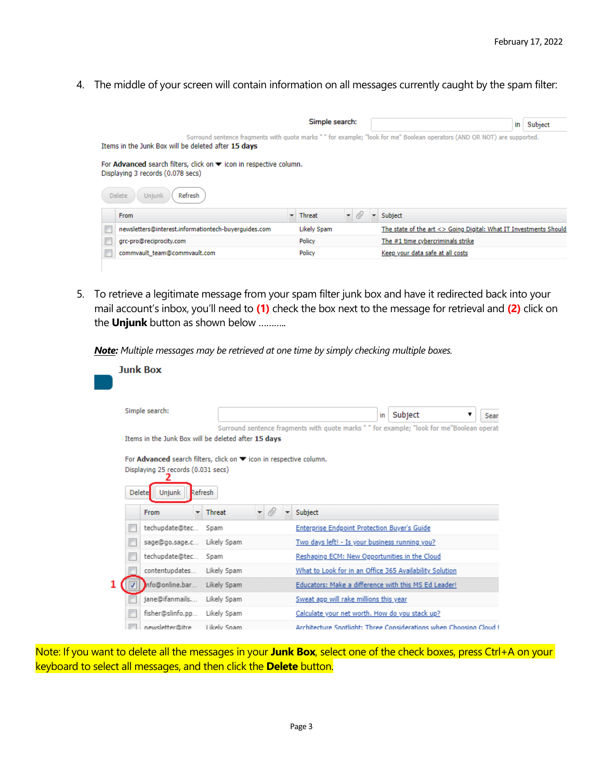4. The middle of your screen will contain information on all messages currently caught by the spam filter:

| Simple search:                                                                                                                                                                   |                                                      |  |                                 |                          |  |                          | in                                                                | Subject |
|----------------------------------------------------------------------------------------------------------------------------------------------------------------------------------|------------------------------------------------------|--|---------------------------------|--------------------------|--|--------------------------|-------------------------------------------------------------------|---------|
| Surround sentence fragments with quote marks " " for example; "look for me" Boolean operators (AND OR NOT) are supported.<br>Items in the Junk Box will be deleted after 15 days |                                                      |  |                                 |                          |  |                          |                                                                   |         |
| For <b>Advanced</b> search filters, click on $\blacktriangledown$ icon in respective column.<br>Displaying 3 records (0.078 secs)                                                |                                                      |  |                                 |                          |  |                          |                                                                   |         |
|                                                                                                                                                                                  | Delete<br>Refresh<br>Uniunk                          |  |                                 |                          |  |                          |                                                                   |         |
|                                                                                                                                                                                  | From                                                 |  | $\overline{\phantom{a}}$ Threat | $\overline{\phantom{a}}$ |  | $\overline{\phantom{a}}$ | Subject                                                           |         |
|                                                                                                                                                                                  | newsletters@interest.informationtech-buverguides.com |  | Likely Spam                     |                          |  |                          | The state of the art <> Going Digital: What IT Investments Should |         |
|                                                                                                                                                                                  | grc-pro@reciprocity.com                              |  | Policy                          |                          |  |                          | The #1 time cybercriminals strike                                 |         |
|                                                                                                                                                                                  | commvault_team@commvault.com                         |  | Policy                          |                          |  |                          | Keep your data safe at all costs                                  |         |
|                                                                                                                                                                                  |                                                      |  |                                 |                          |  |                          |                                                                   |         |

5. To retrieve a legitimate message from your spam filter junk box and have it redirected back into your mail account's inbox, you'll need to **(1)** check the box next to the message for retrieval and **(2)** click on the **Unjunk** button as shown below ………..

*Note: Multiple messages may be retrieved at one time by simply checking multiple boxes.*

|               | <b>Junk Box</b>                    |                                                                           |                                                                                           |
|---------------|------------------------------------|---------------------------------------------------------------------------|-------------------------------------------------------------------------------------------|
|               |                                    |                                                                           |                                                                                           |
|               | Simple search:                     |                                                                           | Subject<br>▼<br>in<br>Sean                                                                |
|               |                                    |                                                                           | Surround sentence fragments with quote marks " " for example; "look for me"Boolean operat |
|               |                                    | Items in the Junk Box will be deleted after 15 days                       |                                                                                           |
|               |                                    | For <b>Advanced</b> search filters, click on ▼ icon in respective column. |                                                                                           |
|               | Displaying 25 records (0.031 secs) |                                                                           |                                                                                           |
|               |                                    |                                                                           |                                                                                           |
| <b>Delete</b> | Refresh<br><b>Unjunk</b>           |                                                                           |                                                                                           |
|               | <b>From</b><br>÷                   | O<br>Threat<br>٠<br>۰                                                     | Subject                                                                                   |
|               | techupdate@tec                     | Spam                                                                      | Enterprise Endpoint Protection Buyer's Guide                                              |
|               | sage@go.sage.c                     | Likely Spam                                                               | Two days left! - Is your business running you?                                            |
|               | techupdate@tec                     | Spam                                                                      | Reshaping ECM: New Opportunities in the Cloud                                             |
|               | contentupdates                     | Likely Spam                                                               | What to Look for in an Office 365 Availability Solution                                   |
|               | Info@online.bar                    | Likely Spam                                                               | Educators: Make a difference with this MS Ed Leader!                                      |
|               | jane@ifanmails                     | Likely Spam                                                               | Sweat app will rake millions this year                                                    |
|               | fisher@slinfo.pp                   | Likely Spam                                                               | Calculate your net worth. How do you stack up?                                            |
|               | newsletter@itre                    | Likely Snam                                                               | Architecture Spotlight: Three Considerations when Choosing Cloud f                        |

Note: If you want to delete all the messages in your **Junk Box**, select one of the check boxes, press Ctrl+A on your keyboard to select all messages, and then click the **Delete** button.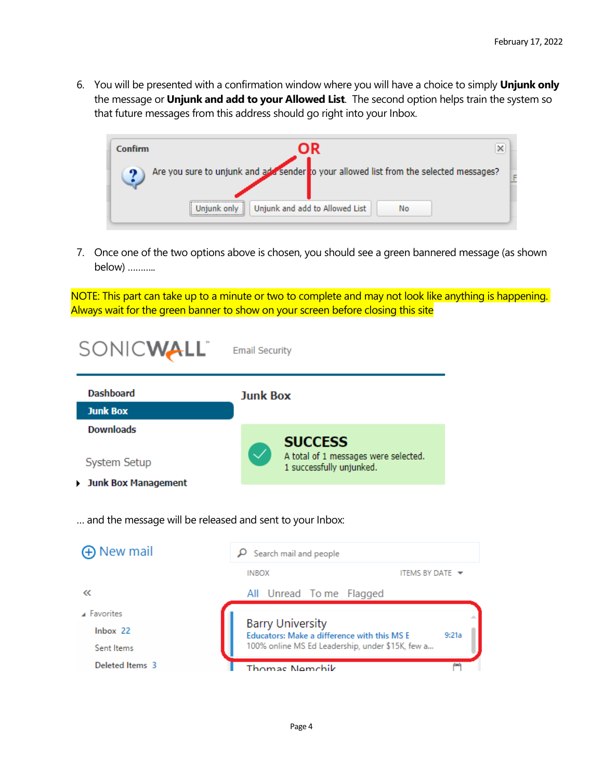6. You will be presented with a confirmation window where you will have a choice to simply **Unjunk only** the message or **Unjunk and add to your Allowed List**. The second option helps train the system so that future messages from this address should go right into your Inbox.



7. Once one of the two options above is chosen, you should see a green bannered message (as shown below) ………..

NOTE: This part can take up to a minute or two to complete and may not look like anything is happening. Always wait for the green banner to show on your screen before closing this site

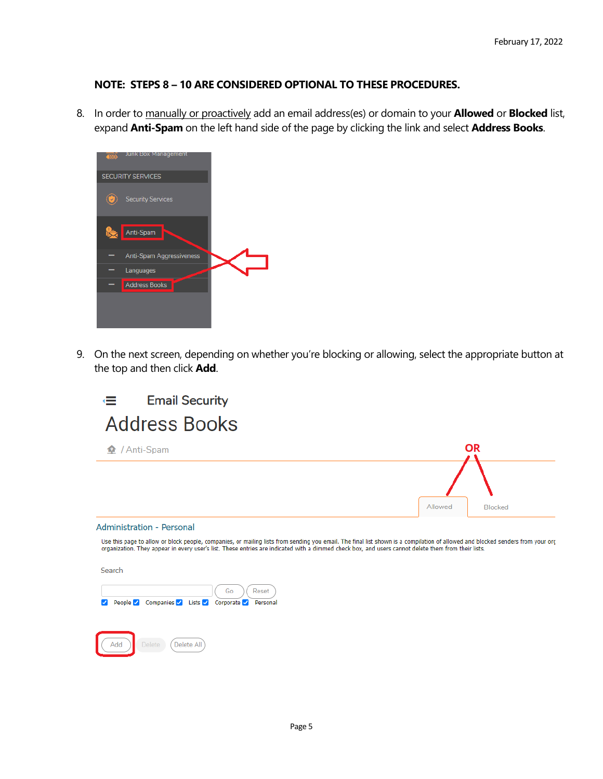## **NOTE: STEPS 8 – 10 ARE CONSIDERED OPTIONAL TO THESE PROCEDURES.**

8. In order to manually or proactively add an email address(es) or domain to your **Allowed** or **Blocked** list, expand **Anti-Spam** on the left hand side of the page by clicking the link and select **Address Books**.



9. On the next screen, depending on whether you're blocking or allowing, select the appropriate button at the top and then click **Add**.



Use this page to allow or block people, companies, or mailing lists from sending you email. The final list shown is a compilation of allowed and blocked senders from your org<br>organization. They appear in every user's list.

Search